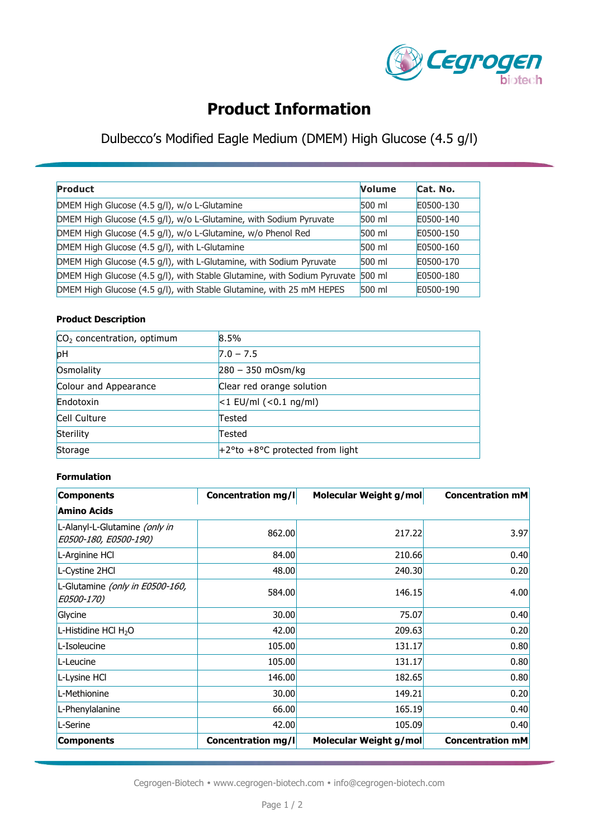

# **Product Information**

## Dulbecco's Modified Eagle Medium (DMEM) High Glucose (4.5 g/l)

| Product                                                                         | <b>Volume</b> | Cat. No.  |
|---------------------------------------------------------------------------------|---------------|-----------|
| DMEM High Glucose (4.5 g/l), w/o L-Glutamine                                    | 500 ml        | E0500-130 |
| DMEM High Glucose (4.5 g/l), w/o L-Glutamine, with Sodium Pyruvate              | $500$ ml      | E0500-140 |
| DMEM High Glucose (4.5 g/l), w/o L-Glutamine, w/o Phenol Red                    | 500 ml        | E0500-150 |
| DMEM High Glucose (4.5 g/l), with L-Glutamine                                   | 500 ml        | E0500-160 |
| DMEM High Glucose (4.5 g/l), with L-Glutamine, with Sodium Pyruvate             | $500$ ml      | E0500-170 |
| DMEM High Glucose (4.5 g/l), with Stable Glutamine, with Sodium Pyruvate 500 ml |               | E0500-180 |
| DMEM High Glucose (4.5 g/l), with Stable Glutamine, with 25 mM HEPES            | 500 ml        | E0500-190 |

#### **Product Description**

| $CO2$ concentration, optimum | 8.5%                               |  |
|------------------------------|------------------------------------|--|
| pH                           | $7.0 - 7.5$                        |  |
| Osmolality                   | $280 - 350$ mOsm/kg                |  |
| Colour and Appearance        | Clear red orange solution          |  |
| Endotoxin                    | $ <$ 1 EU/ml ( $<$ 0.1 ng/ml)      |  |
| Cell Culture                 | Tested                             |  |
| Sterility                    | Tested                             |  |
| Storage                      | $+2$ °to +8°C protected from light |  |

#### **Formulation**

| <b>Components</b>                                      | Concentration mg/l        | Molecular Weight g/mol | <b>Concentration mM</b> |  |  |  |  |
|--------------------------------------------------------|---------------------------|------------------------|-------------------------|--|--|--|--|
| <b>Amino Acids</b>                                     |                           |                        |                         |  |  |  |  |
| L-Alanyl-L-Glutamine (only in<br>E0500-180, E0500-190) | 862.00                    | 217.22                 | 3.97                    |  |  |  |  |
| L-Arginine HCl                                         | 84.00                     | 210.66                 | 0.40                    |  |  |  |  |
| L-Cystine 2HCl                                         | 48.00                     | 240.30                 | 0.20                    |  |  |  |  |
| L-Glutamine (only in E0500-160,<br><i>E0500-170)</i>   | 584.00                    | 146.15                 | 4.00                    |  |  |  |  |
| Glycine                                                | 30.00                     | 75.07                  | 0.40                    |  |  |  |  |
| L-Histidine HCl H <sub>2</sub> O                       | 42.00                     | 209.63                 | 0.20                    |  |  |  |  |
| L-Isoleucine                                           | 105.00                    | 131.17                 | 0.80                    |  |  |  |  |
| L-Leucine                                              | 105.00                    | 131.17                 | 0.80                    |  |  |  |  |
| L-Lysine HCl                                           | 146.00                    | 182.65                 | 0.80                    |  |  |  |  |
| L-Methionine                                           | 30.00                     | 149.21                 | 0.20                    |  |  |  |  |
| L-Phenylalanine                                        | 66.00                     | 165.19                 | 0.40                    |  |  |  |  |
| L-Serine                                               | 42.00                     | 105.09                 | 0.40                    |  |  |  |  |
| <b>Components</b>                                      | <b>Concentration mg/l</b> | Molecular Weight g/mol | <b>Concentration mM</b> |  |  |  |  |

Cegrogen-Biotech • www.cegrogen-biotech.com • info@cegrogen-biotech.com